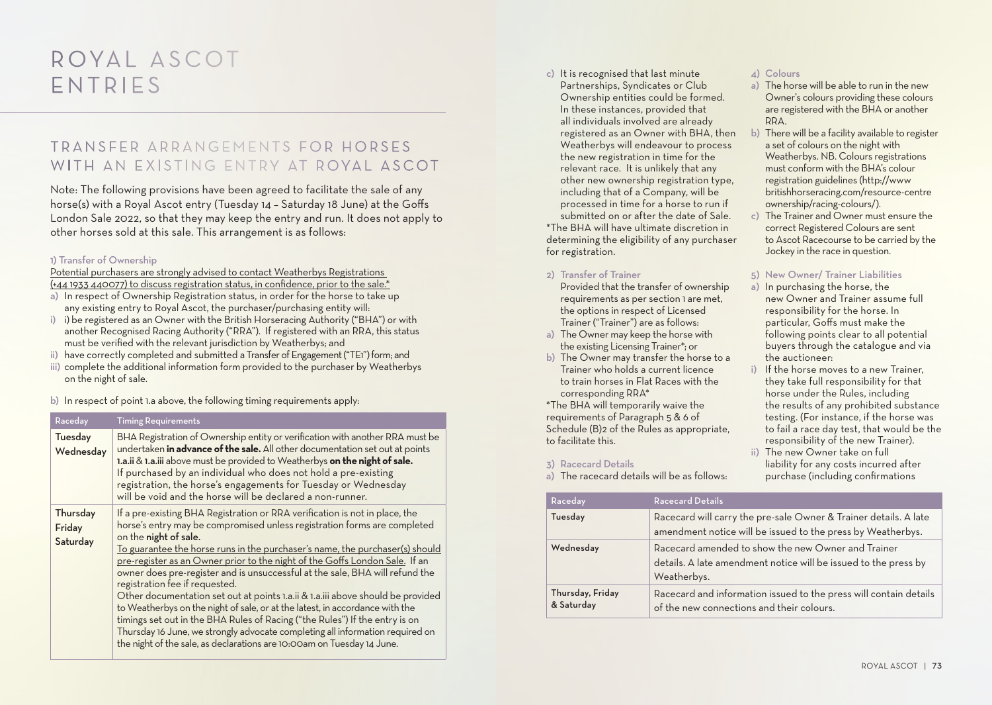# ROYAL ASCOT ENTRIES

# TRANSEER ARRANGEMENTS FOR HORSES WITH AN EXISTING ENTRY AT ROYAL ASCOT

Note: The following provisions have been agreed to facilitate the sale of any horse(s) with a Royal Ascot entry (Tuesday 14 – Saturday 18 June) at the Goffs London Sale 2022, so that they may keep the entry and run. It does not apply to other horses sold at this sale. This arrangement is as follows:

# 1) Transfer of Ownership

Potential purchasers are strongly advised to contact Weatherbys Registrations (+44 1933 440077) to discuss registration status, in confidence, prior to the sale.\*

- a) In respect of Ownership Registration status, in order for the horse to take up any existing entry to Royal Ascot, the purchaser/purchasing entity will:
- i) i) be registered as an Owner with the British Horseracing Authority ("BHA") or with another Recognised Racing Authority ("RRA"). If registered with an RRA, this status must be verified with the relevant jurisdiction by Weatherbys; and
- ii) have correctly completed and submitted a Transfer of Engagement ("TE1") form; and
- iii) complete the additional information form provided to the purchaser by Weatherbys on the night of sale.

b) In respect of point 1.a above, the following timing requirements apply:

| Raceday                        | <b>Timing Requirements</b>                                                                                                                                                                                                                                                                                                                                                                                                                                                                                                                                                                                                                                                                                                                                                                                                                                                     |
|--------------------------------|--------------------------------------------------------------------------------------------------------------------------------------------------------------------------------------------------------------------------------------------------------------------------------------------------------------------------------------------------------------------------------------------------------------------------------------------------------------------------------------------------------------------------------------------------------------------------------------------------------------------------------------------------------------------------------------------------------------------------------------------------------------------------------------------------------------------------------------------------------------------------------|
| <b>Tuesday</b><br>Wednesday    | BHA Registration of Ownership entity or verification with another RRA must be<br>undertaken in advance of the sale. All other documentation set out at points<br>1.a.ii & 1.a.iii above must be provided to Weatherbys on the night of sale.<br>If purchased by an individual who does not hold a pre-existing<br>registration, the horse's engagements for Tuesday or Wednesday<br>will be void and the horse will be declared a non-runner.                                                                                                                                                                                                                                                                                                                                                                                                                                  |
| Thursday<br>Friday<br>Saturday | If a pre-existing BHA Registration or RRA verification is not in place, the<br>horse's entry may be compromised unless registration forms are completed<br>on the night of sale.<br>To guarantee the horse runs in the purchaser's name, the purchaser(s) should<br>pre-register as an Owner prior to the night of the Goffs London Sale. If an<br>owner does pre-register and is unsuccessful at the sale, BHA will refund the<br>registration fee if requested.<br>Other documentation set out at points 1.a.ii & 1.a.iii above should be provided<br>to Weatherbys on the night of sale, or at the latest, in accordance with the<br>timings set out in the BHA Rules of Racing ("the Rules") If the entry is on<br>Thursday 16 June, we strongly advocate completing all information required on<br>the night of the sale, as declarations are 10:00am on Tuesday 14 June. |

c) It is recognised that last minute Partnerships, Syndicates or Club Ownership entities could be formed. In these instances, provided that all individuals involved are already registered as an Owner with BHA, then Weatherbys will endeavour to process the new registration in time for the relevant race. It is unlikely that any other new ownership registration type, including that of a Company, will be processed in time for a horse to run if submitted on or after the date of Sale. \*The BHA will have ultimate discretion in

determining the eligibility of any purchaser for registration.

2) Transfer of Trainer

Provided that the transfer of ownership requirements as per section 1 are met, the options in respect of Licensed Trainer ("Trainer") are as follows:

- a) The Owner may keep the horse with the existing Licensing Trainer\*; or
- b) The Owner may transfer the horse to a Trainer who holds a current licence to train horses in Flat Races with the corresponding RRA\*

\*The BHA will temporarily waive the requirements of Paragraph 5 & 6 of Schedule (B)2 of the Rules as appropriate, to facilitate this.

#### 3) Racecard Details

a) The racecard details will be as follows:

# 4) Colours

- a) The horse will be able to run in the new Owner's colours providing these colours are registered with the BHA or another RRA.
- b) There will be a facility available to register a set of colours on the night with Weatherbys. NB. Colours registrations must conform with the BHA's colour registration guidelines (http://www britishhorseracing.com/resource-centre ownership/racing-colours/).
- c) The Trainer and Owner must ensure the correct Registered Colours are sent to Ascot Racecourse to be carried by the Jockey in the race in question.

# 5) New Owner/ Trainer Liabilities

- a) In purchasing the horse, the new Owner and Trainer assume full responsibility for the horse. In particular, Goffs must make the following points clear to all potential buyers through the catalogue and via the auctioneer:
- i) If the horse moves to a new Trainer, they take full responsibility for that horse under the Rules, including the results of any prohibited substance testing. (For instance, if the horse was to fail a race day test, that would be the responsibility of the new Trainer).
- ii) The new Owner take on full liability for any costs incurred after purchase (including confirmations

| Raceday                        | <b>Racecard Details</b>                                                                                                              |
|--------------------------------|--------------------------------------------------------------------------------------------------------------------------------------|
| Tuesday                        | Racecard will carry the pre-sale Owner & Trainer details. A late<br>amendment notice will be issued to the press by Weatherbys.      |
| Wednesday                      | Racecard amended to show the new Owner and Trainer<br>details. A late amendment notice will be issued to the press by<br>Weatherbys. |
| Thursday, Friday<br>& Saturday | Racecard and information issued to the press will contain details<br>of the new connections and their colours.                       |